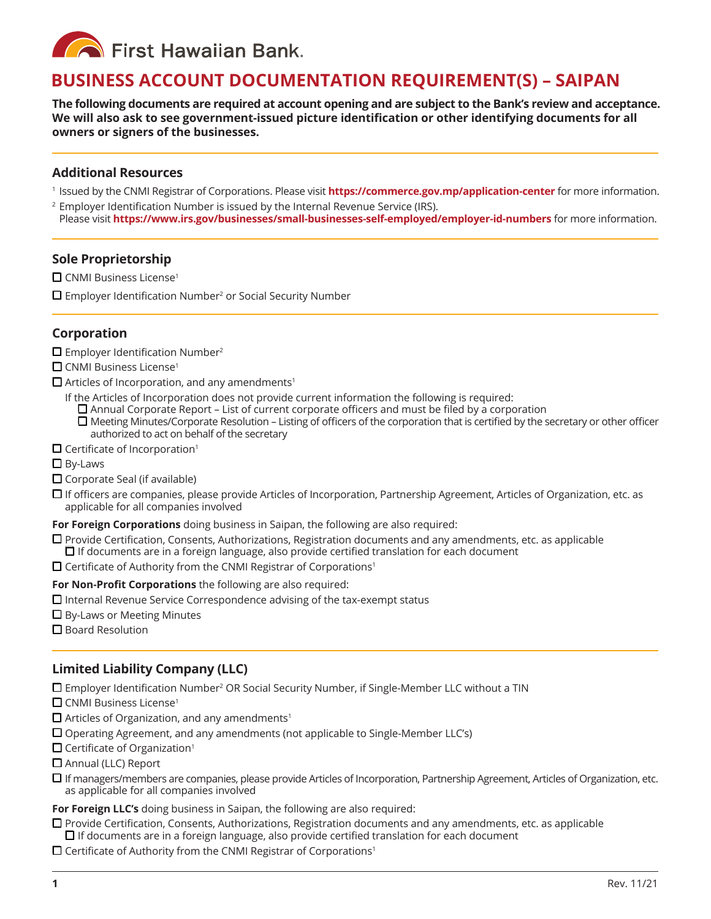**Confirst Hawaiian Bank.** 

# **BUSINESS ACCOUNT DOCUMENTATION REQUIREMENT(S) – SAIPAN**

**The following documents are required at account opening and are subject to the Bank's review and acceptance. We will also ask to see government-issued picture identification or other identifying documents for all owners or signers of the businesses.** 

#### **Additional Resources**

<sup>1</sup> Issued by the CNMI Registrar of Corporations. Please visit **https://commerce.gov.mp/application-center** for more information.

2 Employer Identification Number is issued by the Internal Revenue Service (IRS). Please visit **https://www.irs.gov/businesses/small-businesses-self-employed/employer-id-numbers** for more information.

#### **Sole Proprietorship**

 $\square$  CNMI Business License<sup>1</sup>

 $\square$  Employer Identification Number<sup>2</sup> or Social Security Number

## **Corporation**

- $\Box$  Employer Identification Number<sup>2</sup>
- $\Box$  CNMI Business License<sup>1</sup>
- $\Box$  Articles of Incorporation, and any amendments<sup>1</sup>
	- If the Articles of Incorporation does not provide current information the following is required:
	- $\Box$  Annual Corporate Report List of current corporate officers and must be filed by a corporation  $\Box$  Meeting Minutes/Corporate Resolution – Listing of officers of the corporation that is certified by the secretary or other officer authorized to act on behalf of the secretary
- $\Box$  Certificate of Incorporation<sup>1</sup>
- $\square$  By-Laws
- $\Box$  Corporate Seal (if available)
- $\Box$  If officers are companies, please provide Articles of Incorporation, Partnership Agreement, Articles of Organization, etc. as applicable for all companies involved

**For Foreign Corporations** doing business in Saipan, the following are also required:

- $\Box$  Provide Certification, Consents, Authorizations, Registration documents and any amendments, etc. as applicable  $\Box$  If documents are in a foreign language, also provide certified translation for each document
- $\Box$  Certificate of Authority from the CNMI Registrar of Corporations<sup>1</sup>

**For Non-Profit Corporations** the following are also required:

- $\Box$  Internal Revenue Service Correspondence advising of the tax-exempt status
- $\Box$  By-Laws or Meeting Minutes
- $\square$  Board Resolution

## **Limited Liability Company (LLC)**

 $\square$  Employer Identification Number<sup>2</sup> OR Social Security Number, if Single-Member LLC without a TIN

- $\square$  CNMI Business License<sup>1</sup>
- $\Box$  Articles of Organization, and any amendments<sup>1</sup>
- $\square$  Operating Agreement, and any amendments (not applicable to Single-Member LLC's)
- $\Box$  Certificate of Organization<sup>1</sup>
- $\Box$  Annual (LLC) Report
- $\Box$  If managers/members are companies, please provide Articles of Incorporation, Partnership Agreement, Articles of Organization, etc. as applicable for all companies involved

**For Foreign LLC's** doing business in Saipan, the following are also required:

- $\Box$  Provide Certification, Consents, Authorizations, Registration documents and any amendments, etc. as applicable  $\Box$  If documents are in a foreign language, also provide certified translation for each document
- $\Box$  Certificate of Authority from the CNMI Registrar of Corporations<sup>1</sup>